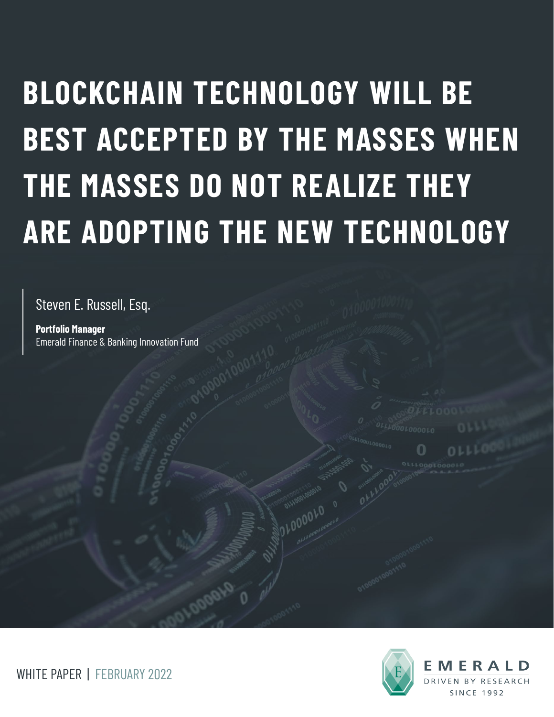# **BLOCKCHAIN TECHNOLOGY WILL BE BEST ACCEPTED BY THE MASSES WHEN THE MASSES DO NOT REALIZE THEY ARE ADOPTING THE NEW TECHNOLOGY**

Steven E. Russell, Esq.

**Portfolio Manager** Emerald Finance & Banking Innovation Fund



WHITE PAPER | FEBRUARY 2022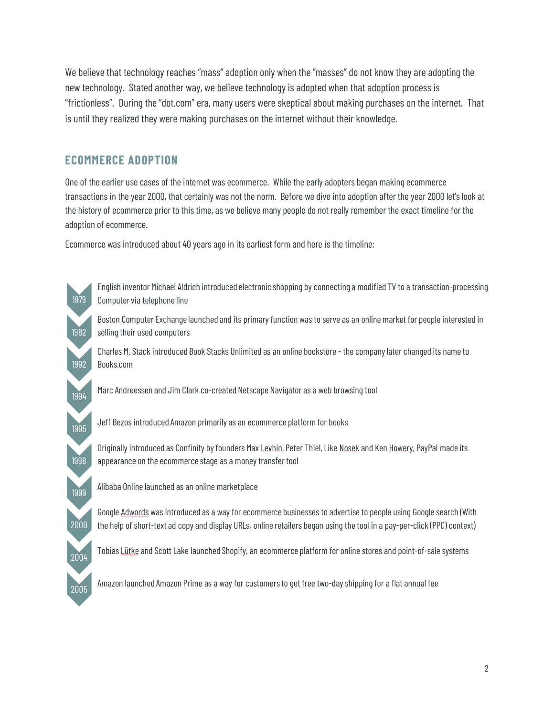We believe that technology reaches "mass" adoption only when the "masses" do not know they are adopting the new technology. Stated another way, we believe technology is adopted when that adoption process is "frictionless". During the "dot.com" era, many users were skeptical about making purchases on the internet. That is until they realized they were making purchases on the internet without their knowledge.

## **ECOMMERCE ADOPTION**

One of the earlier use cases of the internet was ecommerce. While the early adopters began making ecommerce transactions in the year 2000, that certainly was not the norm. Before we dive into adoption after the year 2000 let'slook at the history of ecommerce prior to this time, as we believe many people do not really remember the exact timeline for the adoption of ecommerce.

Ecommerce was introduced about 40 years ago in its earliest form and here is the timeline:

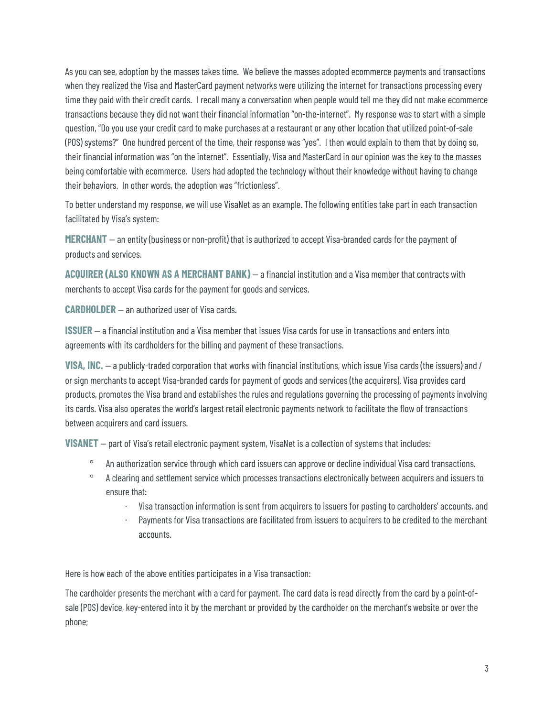As you can see, adoption by the masses takes time. We believe the masses adopted ecommerce payments and transactions when they realized the Visa and MasterCard payment networks were utilizing the internet for transactions processing every time they paid with their credit cards. I recall many a conversation when people would tell me they did not make ecommerce transactions because they did not want their financial information "on-the-internet". My response was to start with a simple question, "Do you use your credit card to make purchases at a restaurant or any other location that utilized point-of-sale (POS) systems?" One hundred percent of the time, their response was "yes". I then would explain to them that by doing so, their financial information was "on the internet". Essentially, Visa and MasterCard in our opinion was the key to the masses being comfortable with ecommerce. Users had adopted the technology without their knowledge without having to change their behaviors. In other words, the adoption was "frictionless".

To better understand my response, we will use VisaNet as an example. The following entities take part in each transaction facilitated by Visa's system:

**MERCHANT** — an entity (business or non-profit) that is authorized to accept Visa-branded cards for the payment of products and services.

**ACQUIRER (ALSO KNOWN AS A MERCHANT BANK)** — a financial institution and a Visa member that contracts with merchants to accept Visa cards for the payment for goods and services.

**CARDHOLDER** — an authorized user of Visa cards.

**ISSUER** — a financial institution and a Visa member that issues Visa cards for use in transactions and enters into agreements with its cardholders for the billing and payment of these transactions.

**VISA, INC.** — a publicly-traded corporation that works with financial institutions, which issue Visa cards (the issuers) and / or sign merchants to accept Visa-branded cards for payment of goods and services (the acquirers). Visa provides card products, promotes the Visa brand and establishes the rules and regulations governing the processing of payments involving its cards. Visa also operates the world's largest retail electronic payments network to facilitate the flow of transactions between acquirers and card issuers.

**VISANET** – part of Visa's retail electronic payment system, VisaNet is a collection of systems that includes:

- ° An authorization service through which card issuers can approve or decline individual Visa card transactions.
- ° A clearing and settlement service which processes transactions electronically between acquirers and issuers to ensure that:
	- · Visa transaction information is sent from acquirers to issuers for posting to cardholders' accounts, and
	- Payments for Visa transactions are facilitated from issuers to acquirers to be credited to the merchant accounts.

Here is how each of the above entities participates in a Visa transaction:

The cardholder presents the merchant with a card for payment. The card data is read directly from the card by a point-ofsale (POS) device, key-entered into it by the merchant or provided by the cardholder on the merchant's website or over the phone;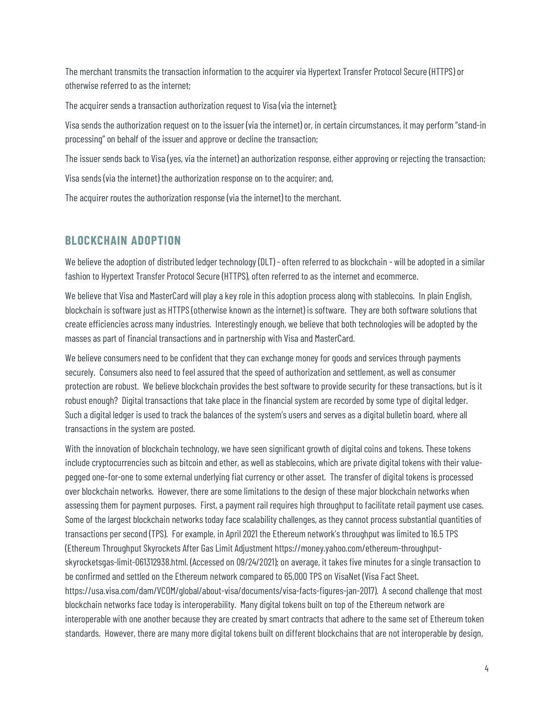The merchant transmits the transaction information to the acquirer via Hypertext Transfer Protocol Secure (HTTPS) or otherwise referred to as the internet;

The acquirer sends a transaction authorization request to Visa (via the internet);

Visa sends the authorization request on to the issuer (via the internet) or, in certain circumstances, it may perform "stand-in processing" on behalf of the issuer and approve or decline the transaction;

The issuer sends back to Visa (yes, via the internet) an authorization response, either approving or rejecting the transaction;

Visa sends (via the internet) the authorization response on to the acquirer; and,

The acquirer routes the authorization response (via the internet) to the merchant.

#### **BLOCKCHAIN ADOPTION**

We believe the adoption of distributed ledger technology (DLT) - often referred to as blockchain - will be adopted in a similar fashion to Hypertext Transfer Protocol Secure (HTTPS), often referred to as the internet and ecommerce.

We believe that Visa and MasterCard will play a key role in this adoption process along with stablecoins. In plain English, blockchain is software just as HTTPS (otherwise known as the internet) is software. They are both software solutions that create efficiencies across many industries. Interestingly enough, we believe that both technologies will be adopted by the masses as part of financial transactions and in partnership with Visa and MasterCard.

We believe consumers need to be confident that they can exchange money for goods and services through payments securely. Consumers also need to feel assured that the speed of authorization and settlement, as well as consumer protection are robust. We believe blockchain provides the best software to provide security for these transactions, but is it robust enough? Digital transactions that take place in the financial system are recorded by some type of digital ledger. Such a digital ledger is used to track the balances of the system's users and serves as a digital bulletin board, where all transactions in the system are posted.

With the innovation of blockchain technology, we have seen significant growth of digital coins and tokens. These tokens include cryptocurrencies such as bitcoin and ether, as well as stablecoins, which are private digital tokens with their valuepegged one–for-one to some external underlying fiat currency or other asset. The transfer of digital tokens is processed over blockchain networks. However, there are some limitations to the design of these major blockchain networks when assessing them for payment purposes. First, a payment rail requires high throughput to facilitate retail payment use cases. Some of the largest blockchain networks today face scalability challenges, as they cannot process substantial quantities of transactions per second (TPS). For example, in April 2021 the Ethereum network's throughput was limited to 16.5 TPS (Ethereum Throughput Skyrockets After Gas Limit Adjustment https://money.yahoo.com/ethereum-throughputskyrocketsgas-limit-061312938.html. (Accessed on 09/24/2021); on average, it takes five minutes for a single transaction to be confirmed and settled on the Ethereum network compared to 65,000 TPS on VisaNet (Visa Fact Sheet. https://usa.visa.com/dam/VCOM/global/about-visa/documents/visa-facts-figures-jan-2017). A second challenge that most blockchain networks face today is interoperability. Many digital tokens built on top of the Ethereum network are interoperable with one another because they are created by smart contracts that adhere to the same set of Ethereum token standards. However, there are many more digital tokens built on different blockchains that are not interoperable by design,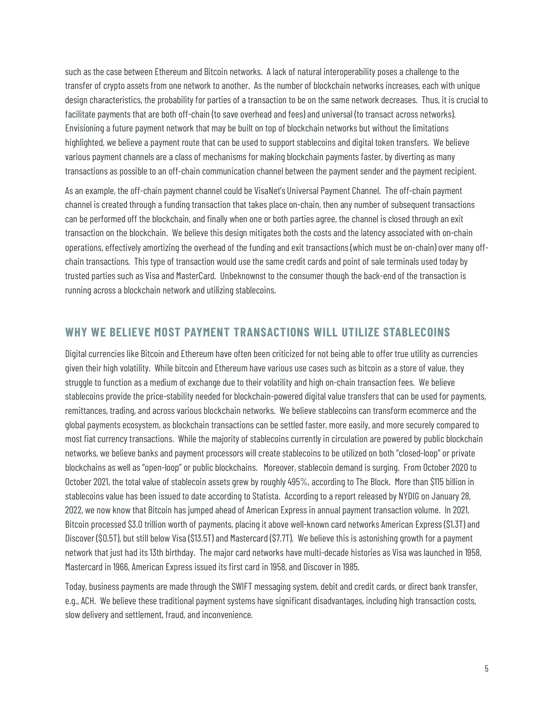such as the case between Ethereum and Bitcoin networks. A lack of natural interoperability poses a challenge to the transfer of crypto assets from one network to another. As the number of blockchain networks increases, each with unique design characteristics, the probability for parties of a transaction to be on the same network decreases. Thus, it is crucial to facilitate payments that are both off-chain (to save overhead and fees) and universal (to transact across networks). Envisioning a future payment network that may be built on top of blockchain networks but without the limitations highlighted, we believe a payment route that can be used to support stablecoins and digital token transfers. We believe various payment channels are a class of mechanisms for making blockchain payments faster, by diverting as many transactions as possible to an off-chain communication channel between the payment sender and the payment recipient.

As an example, the off-chain payment channel could be VisaNet's Universal Payment Channel. The off-chain payment channel is created through a funding transaction that takes place on-chain, then any number of subsequent transactions can be performed off the blockchain, and finally when one or both parties agree, the channel is closed through an exit transaction on the blockchain. We believe this design mitigates both the costs and the latency associated with on-chain operations, effectively amortizing the overhead of the funding and exit transactions (which must be on-chain) over many offchain transactions. This type of transaction would use the same credit cards and point of sale terminals used today by trusted parties such as Visa and MasterCard. Unbeknownst to the consumer though the back-end of the transaction is running across a blockchain network and utilizing stablecoins.

#### **WHY WE BELIEVE MOST PAYMENT TRANSACTIONS WILL UTILIZE STABLECOINS**

Digital currencies like Bitcoin and Ethereum have often been criticized for not being able to offer true utility as currencies given their high volatility. While bitcoin and Ethereum have various use cases such as bitcoin as a store of value, they struggle to function as a medium of exchange due to their volatility and high on-chain transaction fees. We believe stablecoins provide the price-stability needed for blockchain-powered digital value transfers that can be used for payments, remittances, trading, and across various blockchain networks. We believe stablecoins can transform ecommerce and the global payments ecosystem, as blockchain transactions can be settled faster, more easily, and more securely compared to most fiat currency transactions. While the majority of stablecoins currently in circulation are powered by public blockchain networks, we believe banks and payment processors will create stablecoins to be utilized on both "closed-loop" or private blockchains as well as "open-loop" or public blockchains. Moreover, stablecoin demand is surging. From October 2020 to October 2021, the total value of stablecoin assets grew by roughly 495%, according to The Block. More than \$115 billion in stablecoins value has been issued to date according to Statista. According to a report released by NYDIG on January 28, 2022, we now know that Bitcoin has jumped ahead of American Express in annual payment transaction volume. In 2021, Bitcoin processed \$3.0 trillion worth of payments, placing it above well-known card networks American Express (\$1.3T) and Discover (\$0.5T), but still below Visa (\$13.5T) and Mastercard (\$7.7T). We believe this is astonishing growth for a payment network that just had its 13th birthday. The major card networks have multi-decade histories as Visa was launched in 1958, Mastercard in 1966, American Express issued its first card in 1958, and Discover in 1985.

Today, business payments are made through the SWIFT messaging system, debit and credit cards, or direct bank transfer, e.g., ACH. We believe these traditional payment systems have significant disadvantages, including high transaction costs, slow delivery and settlement, fraud, and inconvenience.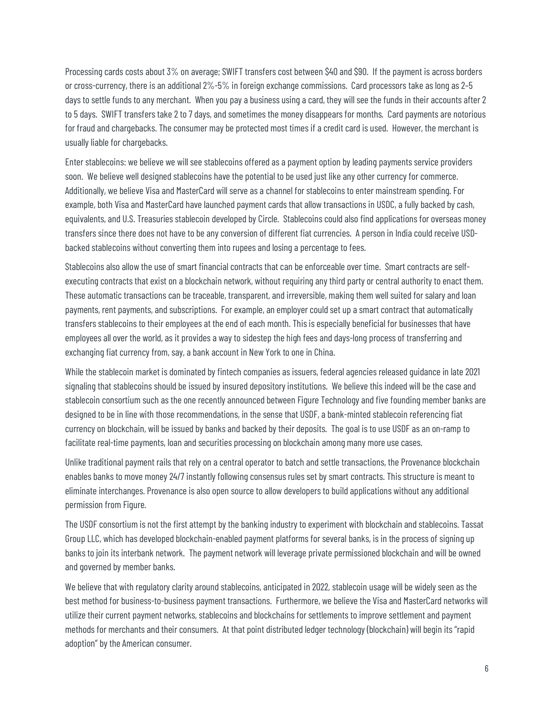Processing cards costs about 3% on average; SWIFT transfers cost between \$40 and \$90. If the payment is across borders or cross-currency, there is an additional 2%-5% in foreign exchange commissions. Card processors take as long as 2–5 days to settle funds to any merchant. When you pay a business using a card, they will see the funds in their accounts after 2 to 5 days. SWIFT transfers take 2 to 7 days, and sometimes the money disappears for months. Card payments are notorious for fraud and chargebacks. The consumer may be protected most times if a credit card is used. However, the merchant is usually liable for chargebacks.

Enter stablecoins: we believe we will see stablecoins offered as a payment option by leading payments service providers soon. We believe well designed stablecoins have the potential to be used just like any other currency for commerce. Additionally, we believe Visa and MasterCard will serve as a channel for stablecoins to enter mainstream spending. For example, both Visa and MasterCard have launched payment cards that allow transactions in USDC, a fully backed by cash, equivalents, and U.S. Treasuries stablecoin developed by Circle. Stablecoins could also find applications for overseas money transfers since there does not have to be any conversion of different fiat currencies. A person in India could receive USDbacked stablecoins without converting them into rupees and losing a percentage to fees.

Stablecoins also allow the use of smart financial contracts that can be enforceable over time. Smart contracts are selfexecuting contracts that exist on a blockchain network, without requiring any third party or central authority to enact them. These automatic transactions can be traceable, transparent, and irreversible, making them well suited for salary and loan payments, rent payments, and subscriptions. For example, an employer could set up a smart contract that automatically transfers stablecoins to their employees at the end of each month. This is especially beneficial for businesses that have employees all over the world, as it provides a way to sidestep the high fees and days-long process of transferring and exchanging fiat currency from, say, a bank account in New York to one in China.

While the stablecoin market is dominated by fintech companies as issuers, federal agencies released guidance in late 2021 signaling that stablecoins should be issued by insured depository institutions. We believe this indeed will be the case and stablecoin consortium such as the one recently announced between Figure Technology and five founding member banks are designed to be in line with those recommendations, in the sense that USDF, a bank-minted stablecoin referencing fiat currency on blockchain, will be issued by banks and backed by their deposits. The goal is to use USDF as an on-ramp to facilitate real-time payments, loan and securities processing on blockchain among many more use cases.

Unlike traditional payment rails that rely on a central operator to batch and settle transactions, the Provenance blockchain enables banks to move money 24/7 instantly following consensus rules set by smart contracts. This structure is meant to eliminate interchanges. Provenance is also open source to allow developers to build applications without any additional permission from Figure.

The USDF consortium is not the first attempt by the banking industry to experiment with blockchain and stablecoins. Tassat Group LLC, which has developed blockchain-enabled payment platforms for several banks, is in the process of signing up banks to join its interbank network. The payment network will leverage private permissioned blockchain and will be owned and governed by member banks.

We believe that with regulatory clarity around stablecoins, anticipated in 2022, stablecoin usage will be widely seen as the best method for business-to-business payment transactions. Furthermore, we believe the Visa and MasterCard networks will utilize their current payment networks, stablecoins and blockchains for settlements to improve settlement and payment methods for merchants and their consumers. At that point distributed ledger technology (blockchain) will begin its "rapid adoption" by the American consumer.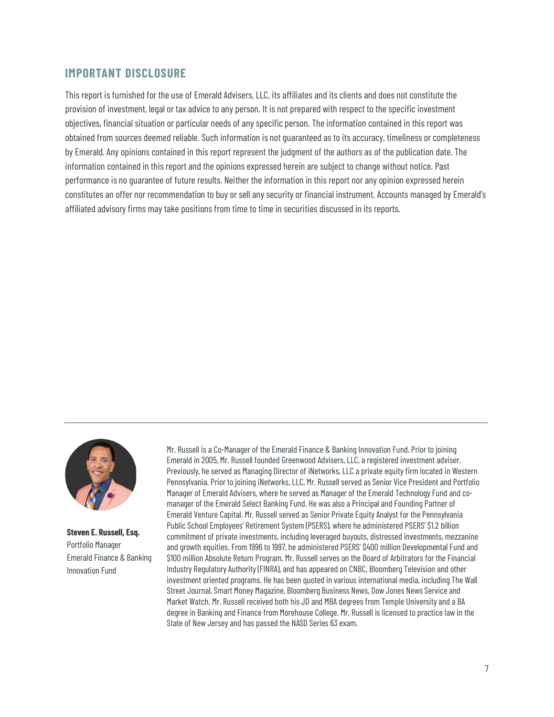### **IMPORTANT DISCLOSURE**

This report is furnished for the use of Emerald Advisers, LLC, its affiliates and its clients and does not constitute the provision of investment, legal or tax advice to any person. It is not prepared with respect to the specific investment objectives, financial situation or particular needs of any specific person. The information contained in this report was obtained from sources deemed reliable. Such information is not guaranteed as to its accuracy, timeliness or completeness by Emerald. Any opinions contained in this report represent the judgment of the authors as of the publication date. The information contained in this report and the opinions expressed herein are subject to change without notice. Past performance is no guarantee of future results. Neither the information in this report nor any opinion expressed herein constitutes an offer nor recommendation to buy or sell any security or financial instrument. Accounts managed by Emerald's affiliated advisory firms may take positions from time to time in securities discussed in its reports.



**Steven E. Russell, Esq.**  Portfolio Manager Emerald Finance & Banking Innovation Fund

Mr. Russell is a Co-Manager of the Emerald Finance & Banking Innovation Fund. Prior to joining Emerald in 2005, Mr. Russell founded Greenwood Advisers, LLC, a registered investment adviser. Previously, he served as Managing Director of iNetworks, LLC a private equity firm located in Western Pennsylvania. Prior to joining iNetworks, LLC, Mr. Russell served as Senior Vice President and Portfolio Manager of Emerald Advisers, where he served as Manager of the Emerald Technology Fund and comanager of the Emerald Select Banking Fund. He was also a Principal and Founding Partner of Emerald Venture Capital. Mr. Russell served as Senior Private Equity Analyst for the Pennsylvania Public School Employees' Retirement System (PSERS), where he administered PSERS' \$1.2 billion commitment of private investments, including leveraged buyouts, distressed investments, mezzanine and growth equities. From 1996 to 1997, he administered PSERS' \$400 million Developmental Fund and \$100 million Absolute Return Program. Mr. Russell serves on the Board of Arbitrators for the Financial Industry Regulatory Authority (FINRA), and has appeared on CNBC, Bloomberg Television and other investment oriented programs. He has been quoted in various international media, including The Wall Street Journal, Smart Money Magazine, Bloomberg Business News, Dow Jones News Service and Market Watch. Mr. Russell received both his JD and MBA degrees from Temple University and a BA degree in Banking and Finance from Morehouse College. Mr. Russell is licensed to practice law in the State of New Jersey and has passed the NASD Series 63 exam.